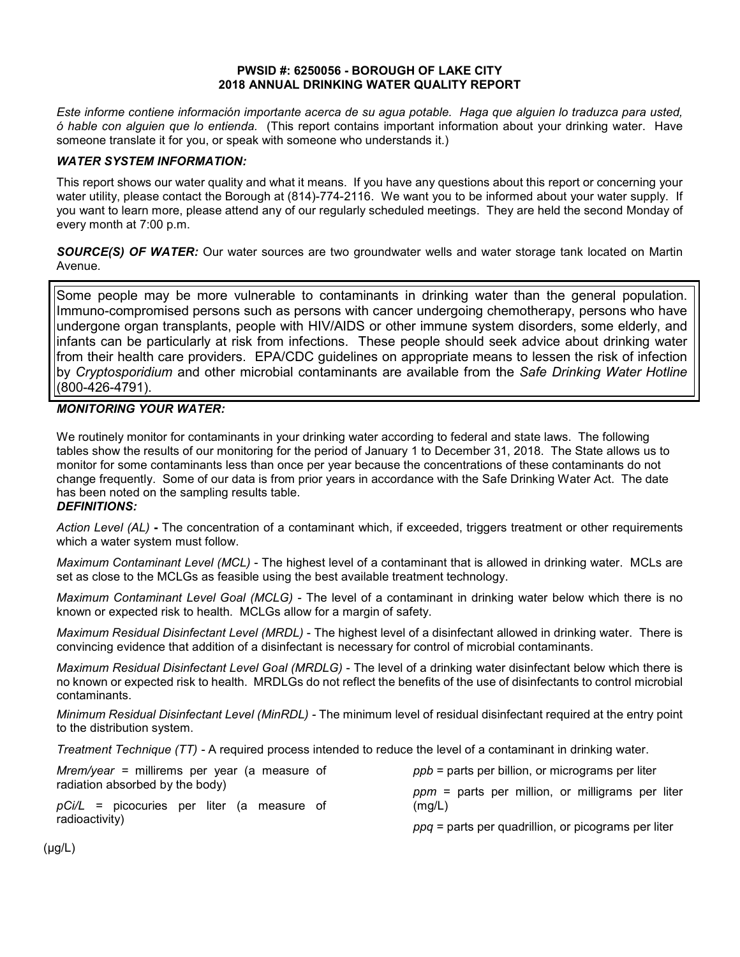#### **PWSID #: 6250056 - BOROUGH OF LAKE CITY 2018 ANNUAL DRINKING WATER QUALITY REPORT**

*Este informe contiene información importante acerca de su agua potable. Haga que alguien lo traduzca para usted, ó hable con alguien que lo entienda.* (This report contains important information about your drinking water. Have someone translate it for you, or speak with someone who understands it.)

#### *WATER SYSTEM INFORMATION:*

This report shows our water quality and what it means. If you have any questions about this report or concerning your water utility, please contact the Borough at (814)-774-2116.We want you to be informed about your water supply. If you want to learn more, please attend any of our regularly scheduled meetings. They are held the second Monday of every month at 7:00 p.m.

*SOURCE(S) OF WATER:* Our water sources are two groundwater wells and water storage tank located on Martin Avenue.

Some people may be more vulnerable to contaminants in drinking water than the general population. Immuno-compromised persons such as persons with cancer undergoing chemotherapy, persons who have undergone organ transplants, people with HIV/AIDS or other immune system disorders, some elderly, and infants can be particularly at risk from infections. These people should seek advice about drinking water from their health care providers. EPA/CDC guidelines on appropriate means to lessen the risk of infection by *Cryptosporidium* and other microbial contaminants are available from the *Safe Drinking Water Hotline* (800-426-4791).

## *MONITORING YOUR WATER:*

We routinely monitor for contaminants in your drinking water according to federal and state laws. The following tables show the results of our monitoring for the period of January 1 to December 31, 2018. The State allows us to monitor for some contaminants less than once per year because the concentrations of these contaminants do not change frequently. Some of our data is from prior years in accordance with the Safe Drinking Water Act. The date has been noted on the sampling results table.

#### *DEFINITIONS:*

*Action Level (AL)* **-** The concentration of a contaminant which, if exceeded, triggers treatment or other requirements which a water system must follow.

*Maximum Contaminant Level (MCL)* - The highest level of a contaminant that is allowed in drinking water. MCLs are set as close to the MCLGs as feasible using the best available treatment technology.

*Maximum Contaminant Level Goal (MCLG)* - The level of a contaminant in drinking water below which there is no known or expected risk to health. MCLGs allow for a margin of safety.

*Maximum Residual Disinfectant Level (MRDL)* - The highest level of a disinfectant allowed in drinking water. There is convincing evidence that addition of a disinfectant is necessary for control of microbial contaminants.

*Maximum Residual Disinfectant Level Goal (MRDLG)* - The level of a drinking water disinfectant below which there is no known or expected risk to health. MRDLGs do not reflect the benefits of the use of disinfectants to control microbial contaminants.

*Minimum Residual Disinfectant Level (MinRDL) -* The minimum level of residual disinfectant required at the entry point to the distribution system.

*Treatment Technique (TT) -* A required process intended to reduce the level of a contaminant in drinking water.

| <i>Mrem/year</i> = millirems per year (a measure of | $ppb$ = parts per billion, or micrograms per liter    |  |  |  |  |  |
|-----------------------------------------------------|-------------------------------------------------------|--|--|--|--|--|
| radiation absorbed by the body)                     | $ppm =$ parts per million, or milligrams per liter    |  |  |  |  |  |
| $pCi/L$ = picocuries per liter (a measure of        | (mg/L)                                                |  |  |  |  |  |
| radioactivity)                                      | $ppq$ = parts per quadrillion, or picograms per liter |  |  |  |  |  |

(μg/L)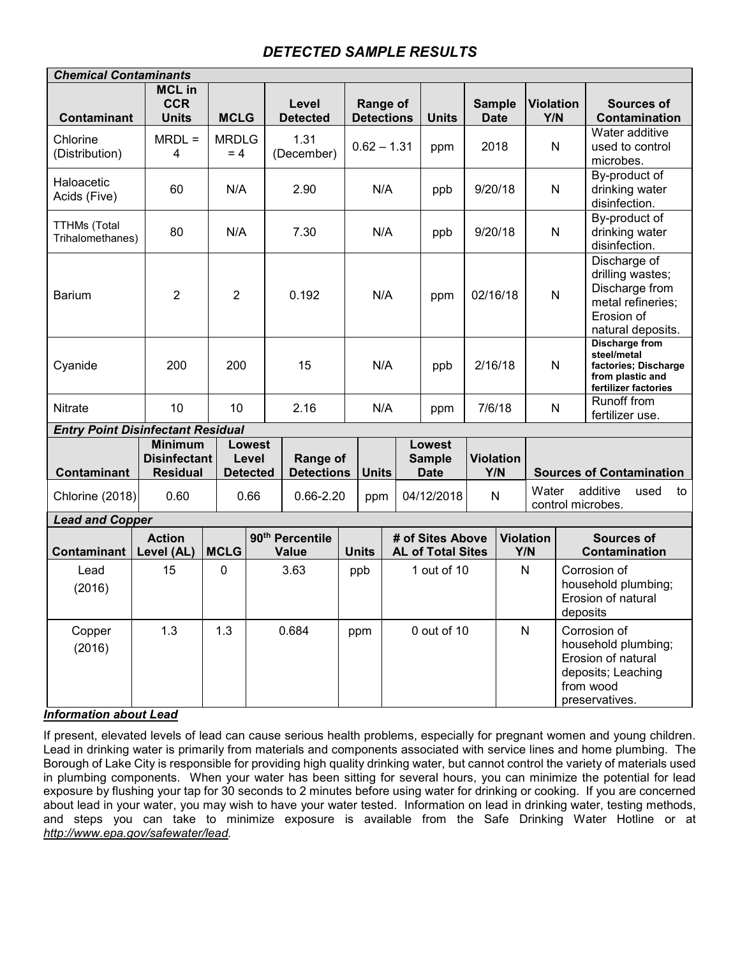# *DETECTED SAMPLE RESULTS*

| <b>Chemical Contaminants</b>             |                                                          |                       |                                           |                                             |     |                               |     |                                               |                              |                         |                         |                                                      |                                                                                                                |  |
|------------------------------------------|----------------------------------------------------------|-----------------------|-------------------------------------------|---------------------------------------------|-----|-------------------------------|-----|-----------------------------------------------|------------------------------|-------------------------|-------------------------|------------------------------------------------------|----------------------------------------------------------------------------------------------------------------|--|
| <b>Contaminant</b>                       | <b>MCL in</b><br><b>CCR</b><br><b>Units</b>              | <b>MCLG</b>           |                                           | Level<br><b>Detected</b>                    |     | Range of<br><b>Detections</b> |     | <b>Units</b>                                  | <b>Sample</b><br><b>Date</b> |                         | <b>Violation</b><br>Y/N |                                                      | <b>Sources of</b><br>Contamination                                                                             |  |
| Chlorine<br>(Distribution)               | $MRDL =$<br>4                                            | <b>MRDLG</b><br>$= 4$ |                                           | 1.31<br>(December)                          |     | $0.62 - 1.31$                 |     | ppm                                           | 2018                         |                         | N                       |                                                      | Water additive<br>used to control<br>microbes.                                                                 |  |
| Haloacetic<br>Acids (Five)               | 60                                                       | N/A                   |                                           | 2.90                                        |     | N/A                           |     | ppb                                           | 9/20/18                      |                         | N                       |                                                      | By-product of<br>drinking water<br>disinfection.                                                               |  |
| <b>TTHMs (Total</b><br>Trihalomethanes)  | 80                                                       | N/A                   |                                           | 7.30                                        | N/A |                               | ppb | 9/20/18                                       |                              | N                       |                         | By-product of<br>drinking water<br>disinfection.     |                                                                                                                |  |
| <b>Barium</b>                            | $\overline{2}$                                           | $\overline{2}$        |                                           | 0.192                                       | N/A |                               |     | ppm                                           | 02/16/18                     |                         | $\mathsf{N}$            |                                                      | Discharge of<br>drilling wastes;<br>Discharge from<br>metal refineries;<br>Erosion of<br>natural deposits.     |  |
| Cyanide                                  | 200                                                      | 200                   |                                           | 15                                          |     | N/A                           |     | ppb                                           | 2/16/18                      |                         | N                       |                                                      | <b>Discharge from</b><br>steel/metal<br>factories; Discharge<br>from plastic and<br>fertilizer factories       |  |
| Nitrate                                  | 10                                                       | 10                    |                                           | 2.16                                        |     | N/A                           |     | ppm                                           | 7/6/18                       |                         | N                       |                                                      | Runoff from<br>fertilizer use.                                                                                 |  |
| <b>Entry Point Disinfectant Residual</b> |                                                          |                       |                                           |                                             |     |                               |     |                                               |                              |                         |                         |                                                      |                                                                                                                |  |
| Contaminant                              | <b>Minimum</b><br><b>Disinfectant</b><br><b>Residual</b> |                       | <b>Lowest</b><br>Level<br><b>Detected</b> | <b>Range of</b><br><b>Detections</b>        |     | <b>Units</b>                  |     | <b>Lowest</b><br><b>Sample</b><br><b>Date</b> | <b>Violation</b><br>Y/N      |                         |                         |                                                      | <b>Sources of Contamination</b>                                                                                |  |
| Chlorine (2018)                          | 0.60                                                     |                       | 0.66                                      | $0.66 - 2.20$                               |     | ppm                           |     | 04/12/2018                                    | N                            |                         |                         | Water<br>additive<br>used<br>to<br>control microbes. |                                                                                                                |  |
| <b>Lead and Copper</b>                   |                                                          |                       |                                           |                                             |     |                               |     |                                               |                              |                         |                         |                                                      |                                                                                                                |  |
| Contaminant                              | <b>Action</b><br>Level (AL)                              | <b>MCLG</b>           |                                           | 90 <sup>th</sup> Percentile<br><b>Value</b> |     | <b>Units</b>                  |     | # of Sites Above<br><b>AL of Total Sites</b>  |                              | <b>Violation</b><br>Y/N |                         |                                                      | <b>Sources of</b><br>Contamination                                                                             |  |
| Lead<br>(2016)                           | 15                                                       | $\mathbf 0$           |                                           | 3.63                                        |     | ppb                           |     | 1 out of 10                                   |                              | N                       |                         | deposits                                             | Corrosion of<br>household plumbing;<br>Erosion of natural                                                      |  |
| Copper<br>(2016)                         | 1.3                                                      | 1.3                   | 0.684                                     |                                             |     | ppm                           |     | 0 out of 10                                   |                              | $\mathsf{N}$            |                         |                                                      | Corrosion of<br>household plumbing;<br>Erosion of natural<br>deposits; Leaching<br>from wood<br>preservatives. |  |

# *Information about Lead*

If present, elevated levels of lead can cause serious health problems, especially for pregnant women and young children. Lead in drinking water is primarily from materials and components associated with service lines and home plumbing. The Borough of Lake City is responsible for providing high quality drinking water, but cannot control the variety of materials used in plumbing components. When your water has been sitting for several hours, you can minimize the potential for lead exposure by flushing your tap for 30 seconds to 2 minutes before using water for drinking or cooking. If you are concerned about lead in your water, you may wish to have your water tested. Information on lead in drinking water, testing methods, and steps you can take to minimize exposure is available from the Safe Drinking Water Hotline or at *http://www.epa.gov/safewater/lead.*